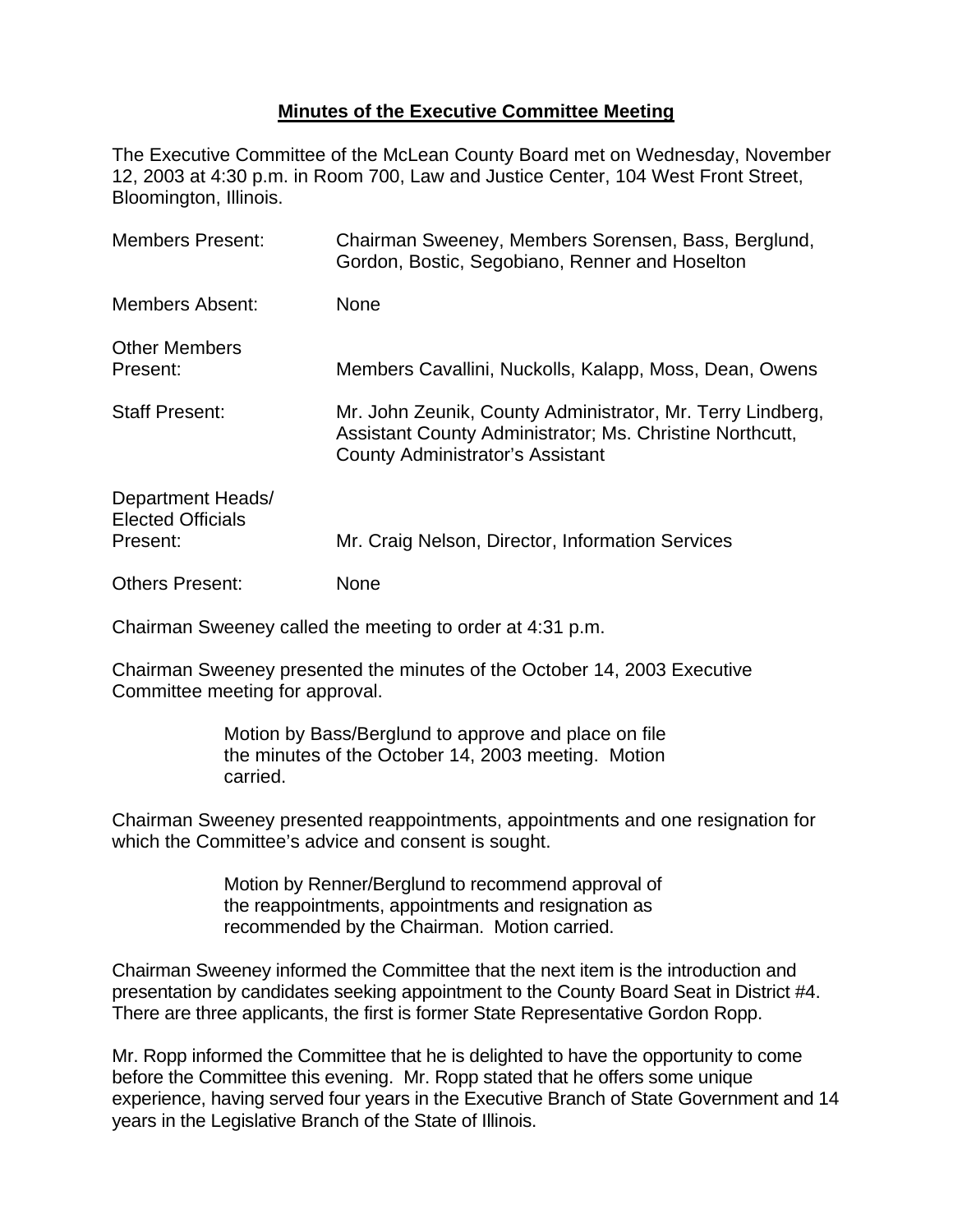## **Minutes of the Executive Committee Meeting**

The Executive Committee of the McLean County Board met on Wednesday, November 12, 2003 at 4:30 p.m. in Room 700, Law and Justice Center, 104 West Front Street, Bloomington, Illinois.

| <b>Members Present:</b>                                   | Chairman Sweeney, Members Sorensen, Bass, Berglund,<br>Gordon, Bostic, Segobiano, Renner and Hoselton                                                             |
|-----------------------------------------------------------|-------------------------------------------------------------------------------------------------------------------------------------------------------------------|
| <b>Members Absent:</b>                                    | None                                                                                                                                                              |
| <b>Other Members</b><br>Present:                          | Members Cavallini, Nuckolls, Kalapp, Moss, Dean, Owens                                                                                                            |
| <b>Staff Present:</b>                                     | Mr. John Zeunik, County Administrator, Mr. Terry Lindberg,<br>Assistant County Administrator; Ms. Christine Northcutt,<br><b>County Administrator's Assistant</b> |
| Department Heads/<br><b>Elected Officials</b><br>Present: | Mr. Craig Nelson, Director, Information Services                                                                                                                  |
| <b>Others Present:</b>                                    | None                                                                                                                                                              |

Chairman Sweeney called the meeting to order at 4:31 p.m.

Chairman Sweeney presented the minutes of the October 14, 2003 Executive Committee meeting for approval.

> Motion by Bass/Berglund to approve and place on file the minutes of the October 14, 2003 meeting. Motion carried.

Chairman Sweeney presented reappointments, appointments and one resignation for which the Committee's advice and consent is sought.

> Motion by Renner/Berglund to recommend approval of the reappointments, appointments and resignation as recommended by the Chairman. Motion carried.

Chairman Sweeney informed the Committee that the next item is the introduction and presentation by candidates seeking appointment to the County Board Seat in District #4. There are three applicants, the first is former State Representative Gordon Ropp.

Mr. Ropp informed the Committee that he is delighted to have the opportunity to come before the Committee this evening. Mr. Ropp stated that he offers some unique experience, having served four years in the Executive Branch of State Government and 14 years in the Legislative Branch of the State of Illinois.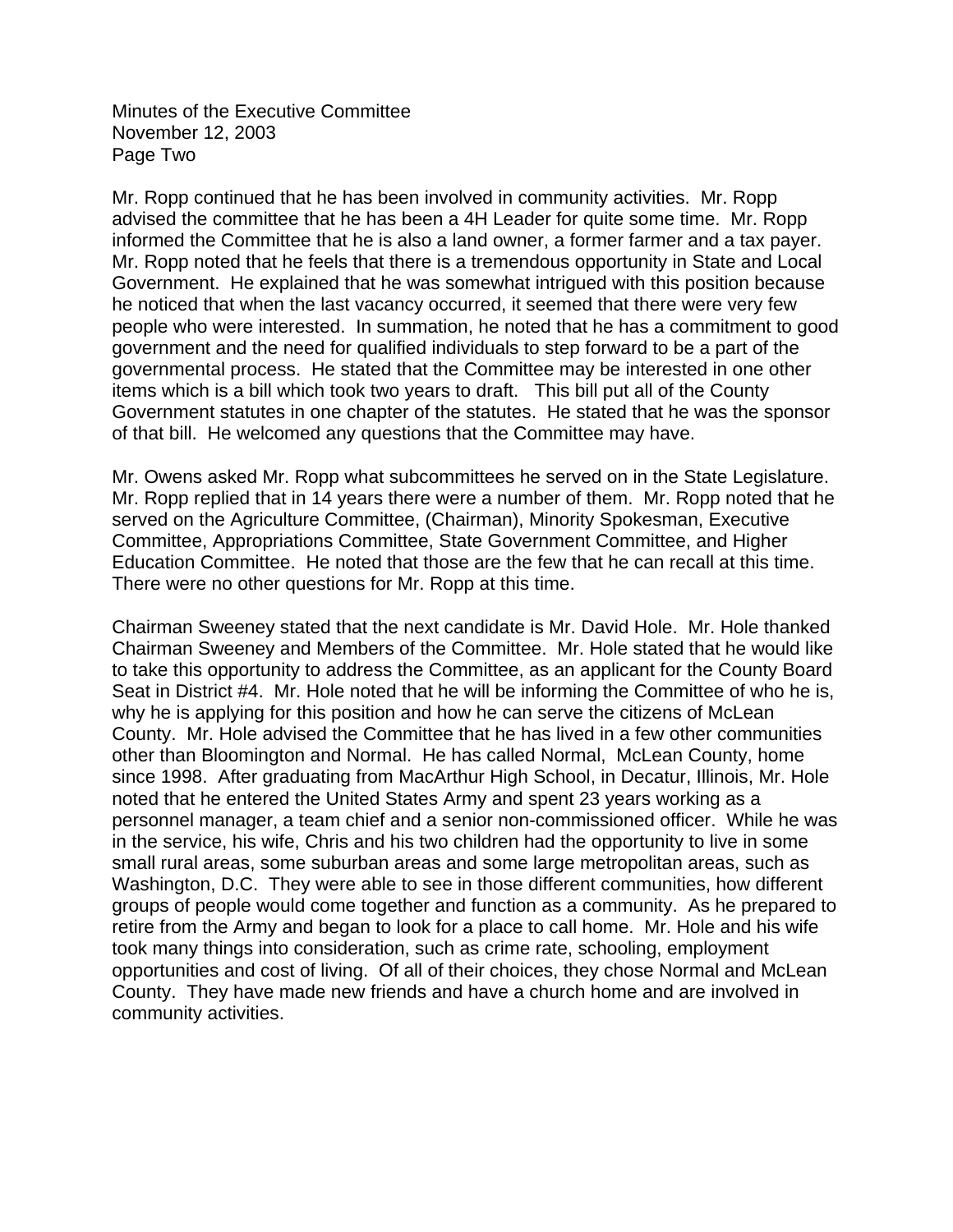Minutes of the Executive Committee November 12, 2003 Page Two

Mr. Ropp continued that he has been involved in community activities. Mr. Ropp advised the committee that he has been a 4H Leader for quite some time. Mr. Ropp informed the Committee that he is also a land owner, a former farmer and a tax payer. Mr. Ropp noted that he feels that there is a tremendous opportunity in State and Local Government. He explained that he was somewhat intrigued with this position because he noticed that when the last vacancy occurred, it seemed that there were very few people who were interested. In summation, he noted that he has a commitment to good government and the need for qualified individuals to step forward to be a part of the governmental process. He stated that the Committee may be interested in one other items which is a bill which took two years to draft. This bill put all of the County Government statutes in one chapter of the statutes. He stated that he was the sponsor of that bill. He welcomed any questions that the Committee may have.

Mr. Owens asked Mr. Ropp what subcommittees he served on in the State Legislature. Mr. Ropp replied that in 14 years there were a number of them. Mr. Ropp noted that he served on the Agriculture Committee, (Chairman), Minority Spokesman, Executive Committee, Appropriations Committee, State Government Committee, and Higher Education Committee. He noted that those are the few that he can recall at this time. There were no other questions for Mr. Ropp at this time.

Chairman Sweeney stated that the next candidate is Mr. David Hole. Mr. Hole thanked Chairman Sweeney and Members of the Committee. Mr. Hole stated that he would like to take this opportunity to address the Committee, as an applicant for the County Board Seat in District #4. Mr. Hole noted that he will be informing the Committee of who he is, why he is applying for this position and how he can serve the citizens of McLean County. Mr. Hole advised the Committee that he has lived in a few other communities other than Bloomington and Normal. He has called Normal, McLean County, home since 1998. After graduating from MacArthur High School, in Decatur, Illinois, Mr. Hole noted that he entered the United States Army and spent 23 years working as a personnel manager, a team chief and a senior non-commissioned officer. While he was in the service, his wife, Chris and his two children had the opportunity to live in some small rural areas, some suburban areas and some large metropolitan areas, such as Washington, D.C. They were able to see in those different communities, how different groups of people would come together and function as a community. As he prepared to retire from the Army and began to look for a place to call home. Mr. Hole and his wife took many things into consideration, such as crime rate, schooling, employment opportunities and cost of living. Of all of their choices, they chose Normal and McLean County. They have made new friends and have a church home and are involved in community activities.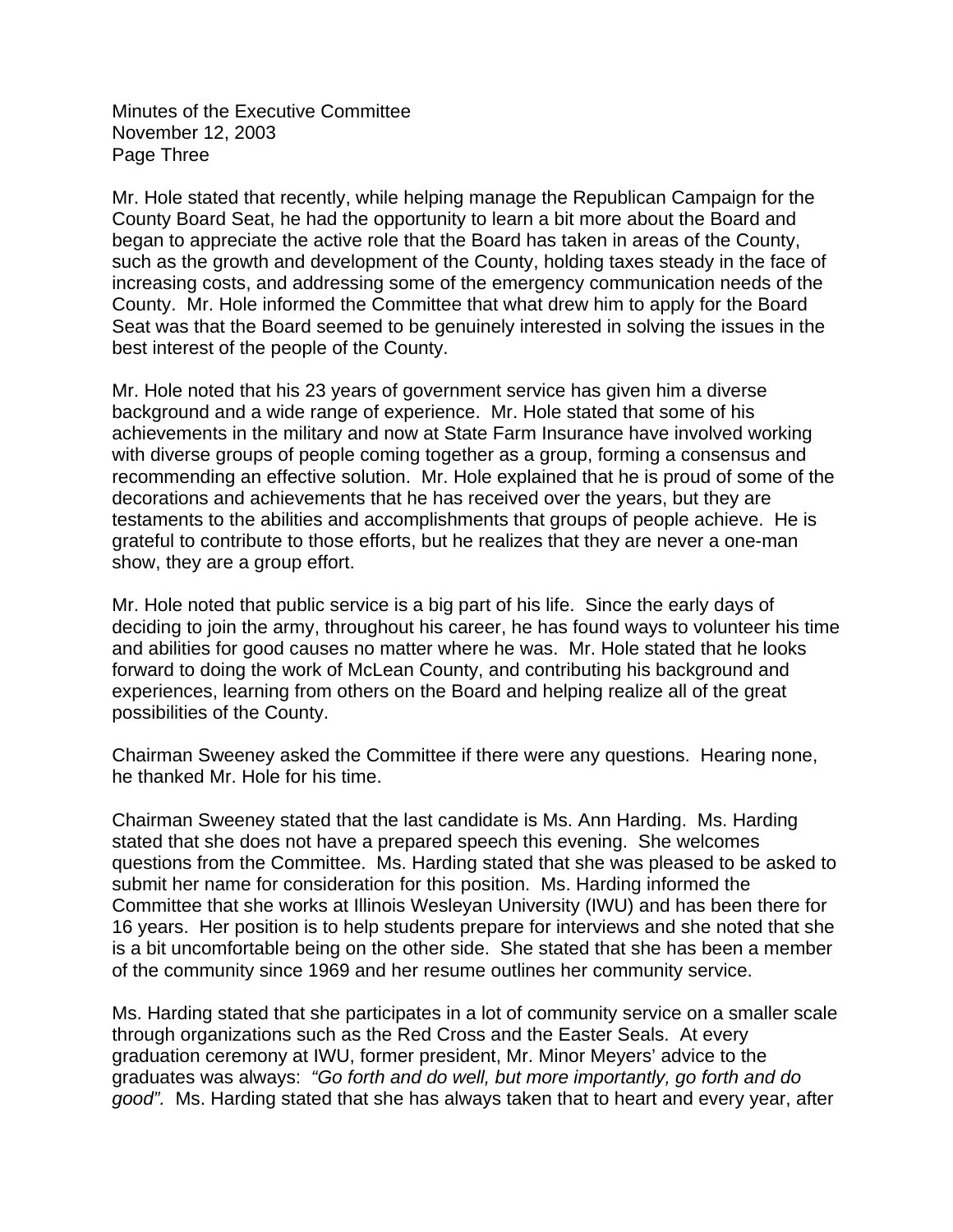Minutes of the Executive Committee November 12, 2003 Page Three

Mr. Hole stated that recently, while helping manage the Republican Campaign for the County Board Seat, he had the opportunity to learn a bit more about the Board and began to appreciate the active role that the Board has taken in areas of the County, such as the growth and development of the County, holding taxes steady in the face of increasing costs, and addressing some of the emergency communication needs of the County. Mr. Hole informed the Committee that what drew him to apply for the Board Seat was that the Board seemed to be genuinely interested in solving the issues in the best interest of the people of the County.

Mr. Hole noted that his 23 years of government service has given him a diverse background and a wide range of experience. Mr. Hole stated that some of his achievements in the military and now at State Farm Insurance have involved working with diverse groups of people coming together as a group, forming a consensus and recommending an effective solution. Mr. Hole explained that he is proud of some of the decorations and achievements that he has received over the years, but they are testaments to the abilities and accomplishments that groups of people achieve. He is grateful to contribute to those efforts, but he realizes that they are never a one-man show, they are a group effort.

Mr. Hole noted that public service is a big part of his life. Since the early days of deciding to join the army, throughout his career, he has found ways to volunteer his time and abilities for good causes no matter where he was. Mr. Hole stated that he looks forward to doing the work of McLean County, and contributing his background and experiences, learning from others on the Board and helping realize all of the great possibilities of the County.

Chairman Sweeney asked the Committee if there were any questions. Hearing none, he thanked Mr. Hole for his time.

Chairman Sweeney stated that the last candidate is Ms. Ann Harding. Ms. Harding stated that she does not have a prepared speech this evening. She welcomes questions from the Committee. Ms. Harding stated that she was pleased to be asked to submit her name for consideration for this position. Ms. Harding informed the Committee that she works at Illinois Wesleyan University (IWU) and has been there for 16 years. Her position is to help students prepare for interviews and she noted that she is a bit uncomfortable being on the other side. She stated that she has been a member of the community since 1969 and her resume outlines her community service.

Ms. Harding stated that she participates in a lot of community service on a smaller scale through organizations such as the Red Cross and the Easter Seals. At every graduation ceremony at IWU, former president, Mr. Minor Meyers' advice to the graduates was always: *"Go forth and do well, but more importantly, go forth and do good".* Ms. Harding stated that she has always taken that to heart and every year, after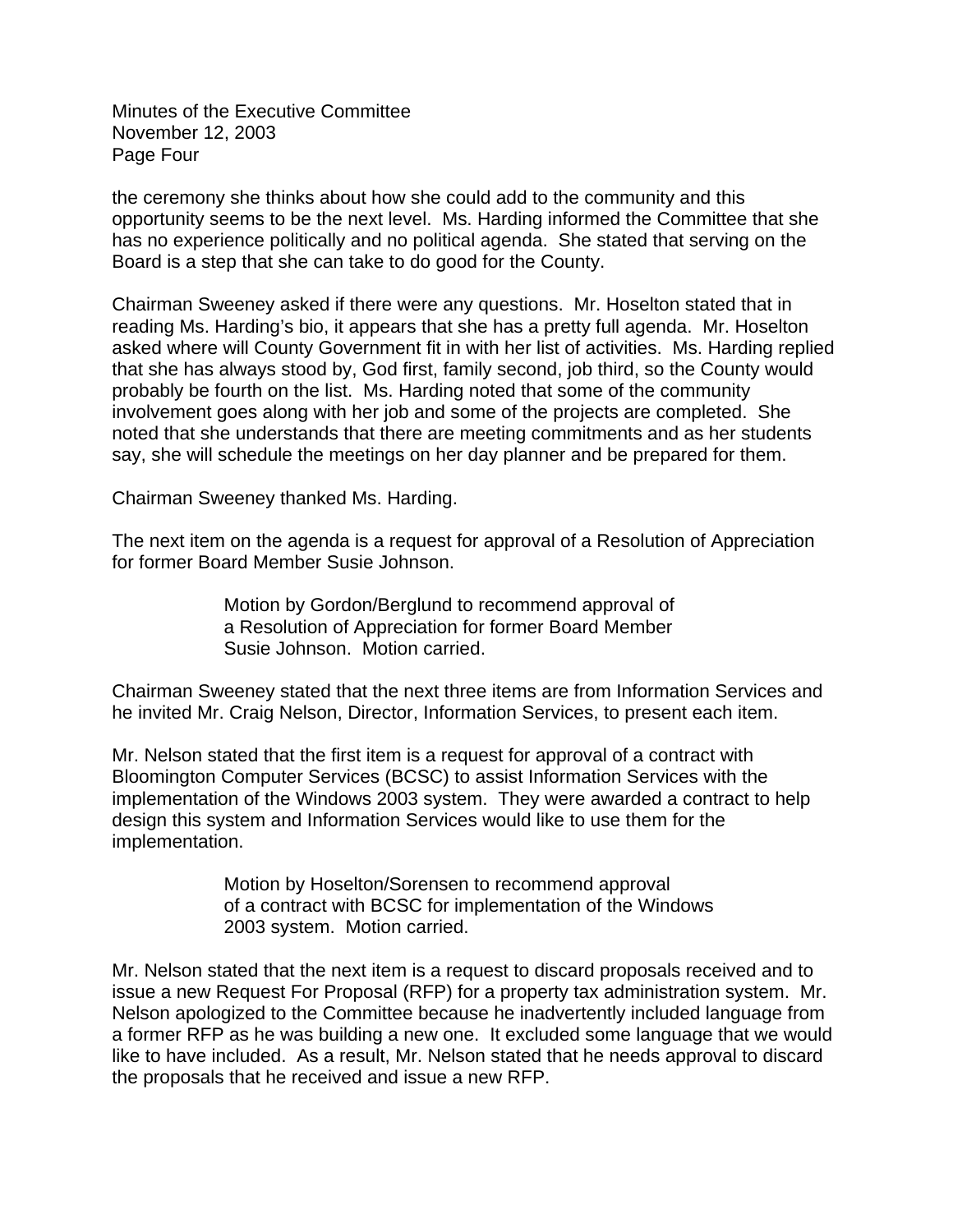Minutes of the Executive Committee November 12, 2003 Page Four

the ceremony she thinks about how she could add to the community and this opportunity seems to be the next level. Ms. Harding informed the Committee that she has no experience politically and no political agenda. She stated that serving on the Board is a step that she can take to do good for the County.

Chairman Sweeney asked if there were any questions. Mr. Hoselton stated that in reading Ms. Harding's bio, it appears that she has a pretty full agenda. Mr. Hoselton asked where will County Government fit in with her list of activities. Ms. Harding replied that she has always stood by, God first, family second, job third, so the County would probably be fourth on the list. Ms. Harding noted that some of the community involvement goes along with her job and some of the projects are completed. She noted that she understands that there are meeting commitments and as her students say, she will schedule the meetings on her day planner and be prepared for them.

Chairman Sweeney thanked Ms. Harding.

The next item on the agenda is a request for approval of a Resolution of Appreciation for former Board Member Susie Johnson.

> Motion by Gordon/Berglund to recommend approval of a Resolution of Appreciation for former Board Member Susie Johnson. Motion carried.

Chairman Sweeney stated that the next three items are from Information Services and he invited Mr. Craig Nelson, Director, Information Services, to present each item.

Mr. Nelson stated that the first item is a request for approval of a contract with Bloomington Computer Services (BCSC) to assist Information Services with the implementation of the Windows 2003 system. They were awarded a contract to help design this system and Information Services would like to use them for the implementation.

> Motion by Hoselton/Sorensen to recommend approval of a contract with BCSC for implementation of the Windows 2003 system. Motion carried.

Mr. Nelson stated that the next item is a request to discard proposals received and to issue a new Request For Proposal (RFP) for a property tax administration system. Mr. Nelson apologized to the Committee because he inadvertently included language from a former RFP as he was building a new one. It excluded some language that we would like to have included. As a result, Mr. Nelson stated that he needs approval to discard the proposals that he received and issue a new RFP.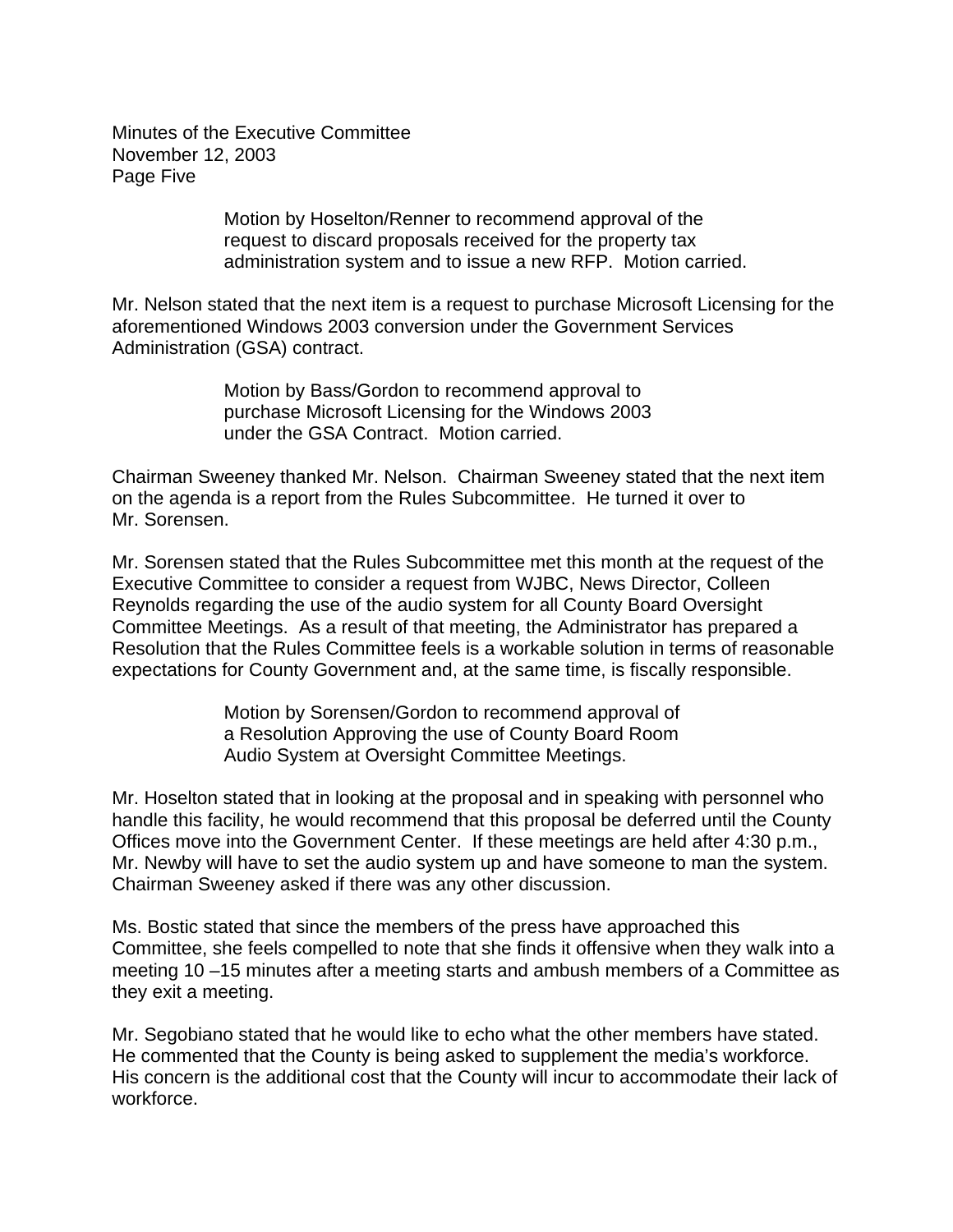Minutes of the Executive Committee November 12, 2003 Page Five

> Motion by Hoselton/Renner to recommend approval of the request to discard proposals received for the property tax administration system and to issue a new RFP. Motion carried.

Mr. Nelson stated that the next item is a request to purchase Microsoft Licensing for the aforementioned Windows 2003 conversion under the Government Services Administration (GSA) contract.

> Motion by Bass/Gordon to recommend approval to purchase Microsoft Licensing for the Windows 2003 under the GSA Contract. Motion carried.

Chairman Sweeney thanked Mr. Nelson. Chairman Sweeney stated that the next item on the agenda is a report from the Rules Subcommittee. He turned it over to Mr. Sorensen.

Mr. Sorensen stated that the Rules Subcommittee met this month at the request of the Executive Committee to consider a request from WJBC, News Director, Colleen Reynolds regarding the use of the audio system for all County Board Oversight Committee Meetings. As a result of that meeting, the Administrator has prepared a Resolution that the Rules Committee feels is a workable solution in terms of reasonable expectations for County Government and, at the same time, is fiscally responsible.

> Motion by Sorensen/Gordon to recommend approval of a Resolution Approving the use of County Board Room Audio System at Oversight Committee Meetings.

Mr. Hoselton stated that in looking at the proposal and in speaking with personnel who handle this facility, he would recommend that this proposal be deferred until the County Offices move into the Government Center. If these meetings are held after 4:30 p.m., Mr. Newby will have to set the audio system up and have someone to man the system. Chairman Sweeney asked if there was any other discussion.

Ms. Bostic stated that since the members of the press have approached this Committee, she feels compelled to note that she finds it offensive when they walk into a meeting 10 –15 minutes after a meeting starts and ambush members of a Committee as they exit a meeting.

Mr. Segobiano stated that he would like to echo what the other members have stated. He commented that the County is being asked to supplement the media's workforce. His concern is the additional cost that the County will incur to accommodate their lack of workforce.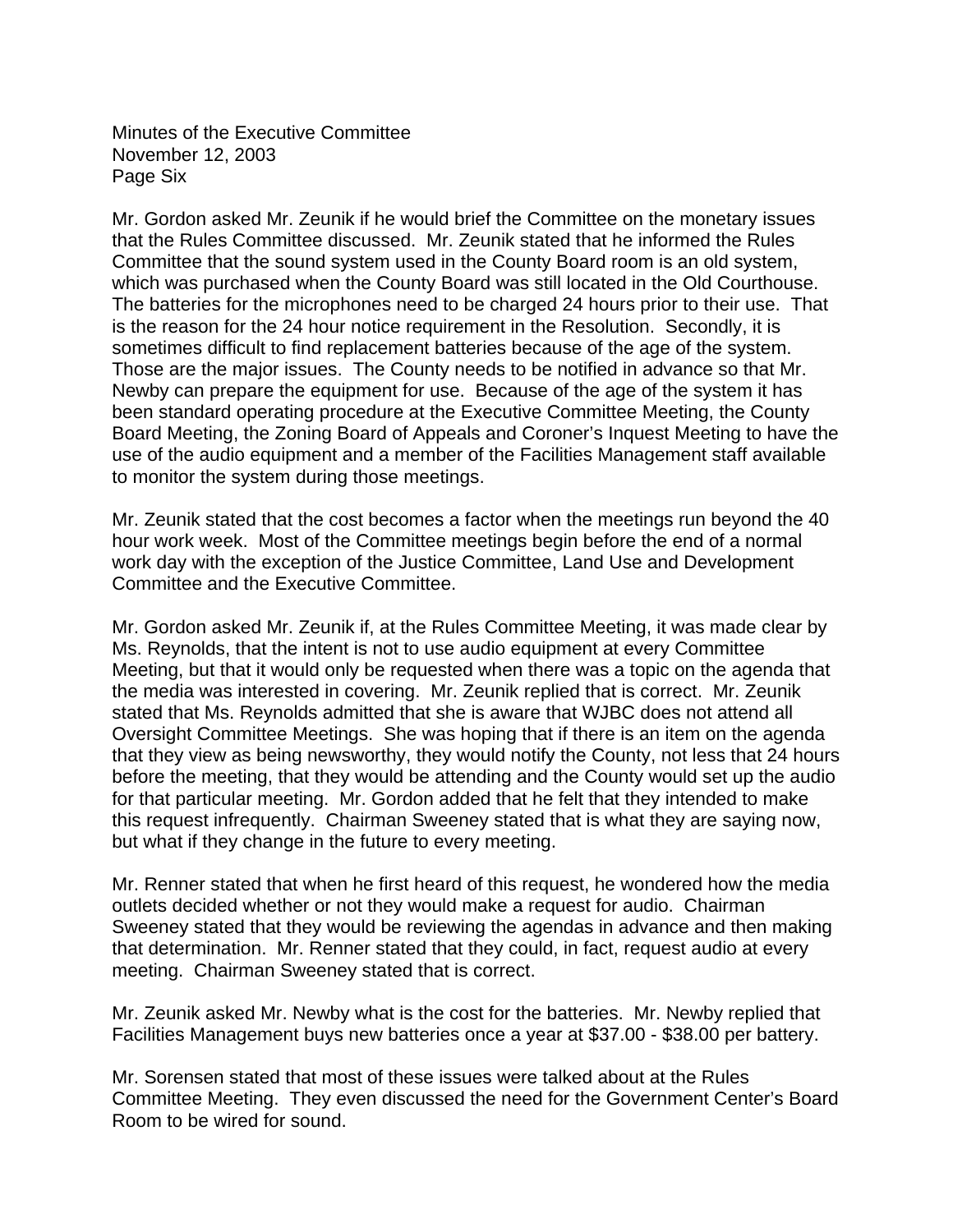Minutes of the Executive Committee November 12, 2003 Page Six

Mr. Gordon asked Mr. Zeunik if he would brief the Committee on the monetary issues that the Rules Committee discussed. Mr. Zeunik stated that he informed the Rules Committee that the sound system used in the County Board room is an old system, which was purchased when the County Board was still located in the Old Courthouse. The batteries for the microphones need to be charged 24 hours prior to their use. That is the reason for the 24 hour notice requirement in the Resolution. Secondly, it is sometimes difficult to find replacement batteries because of the age of the system. Those are the major issues. The County needs to be notified in advance so that Mr. Newby can prepare the equipment for use. Because of the age of the system it has been standard operating procedure at the Executive Committee Meeting, the County Board Meeting, the Zoning Board of Appeals and Coroner's Inquest Meeting to have the use of the audio equipment and a member of the Facilities Management staff available to monitor the system during those meetings.

Mr. Zeunik stated that the cost becomes a factor when the meetings run beyond the 40 hour work week. Most of the Committee meetings begin before the end of a normal work day with the exception of the Justice Committee, Land Use and Development Committee and the Executive Committee.

Mr. Gordon asked Mr. Zeunik if, at the Rules Committee Meeting, it was made clear by Ms. Reynolds, that the intent is not to use audio equipment at every Committee Meeting, but that it would only be requested when there was a topic on the agenda that the media was interested in covering. Mr. Zeunik replied that is correct. Mr. Zeunik stated that Ms. Reynolds admitted that she is aware that WJBC does not attend all Oversight Committee Meetings. She was hoping that if there is an item on the agenda that they view as being newsworthy, they would notify the County, not less that 24 hours before the meeting, that they would be attending and the County would set up the audio for that particular meeting. Mr. Gordon added that he felt that they intended to make this request infrequently. Chairman Sweeney stated that is what they are saying now, but what if they change in the future to every meeting.

Mr. Renner stated that when he first heard of this request, he wondered how the media outlets decided whether or not they would make a request for audio. Chairman Sweeney stated that they would be reviewing the agendas in advance and then making that determination. Mr. Renner stated that they could, in fact, request audio at every meeting. Chairman Sweeney stated that is correct.

Mr. Zeunik asked Mr. Newby what is the cost for the batteries. Mr. Newby replied that Facilities Management buys new batteries once a year at \$37.00 - \$38.00 per battery.

Mr. Sorensen stated that most of these issues were talked about at the Rules Committee Meeting. They even discussed the need for the Government Center's Board Room to be wired for sound.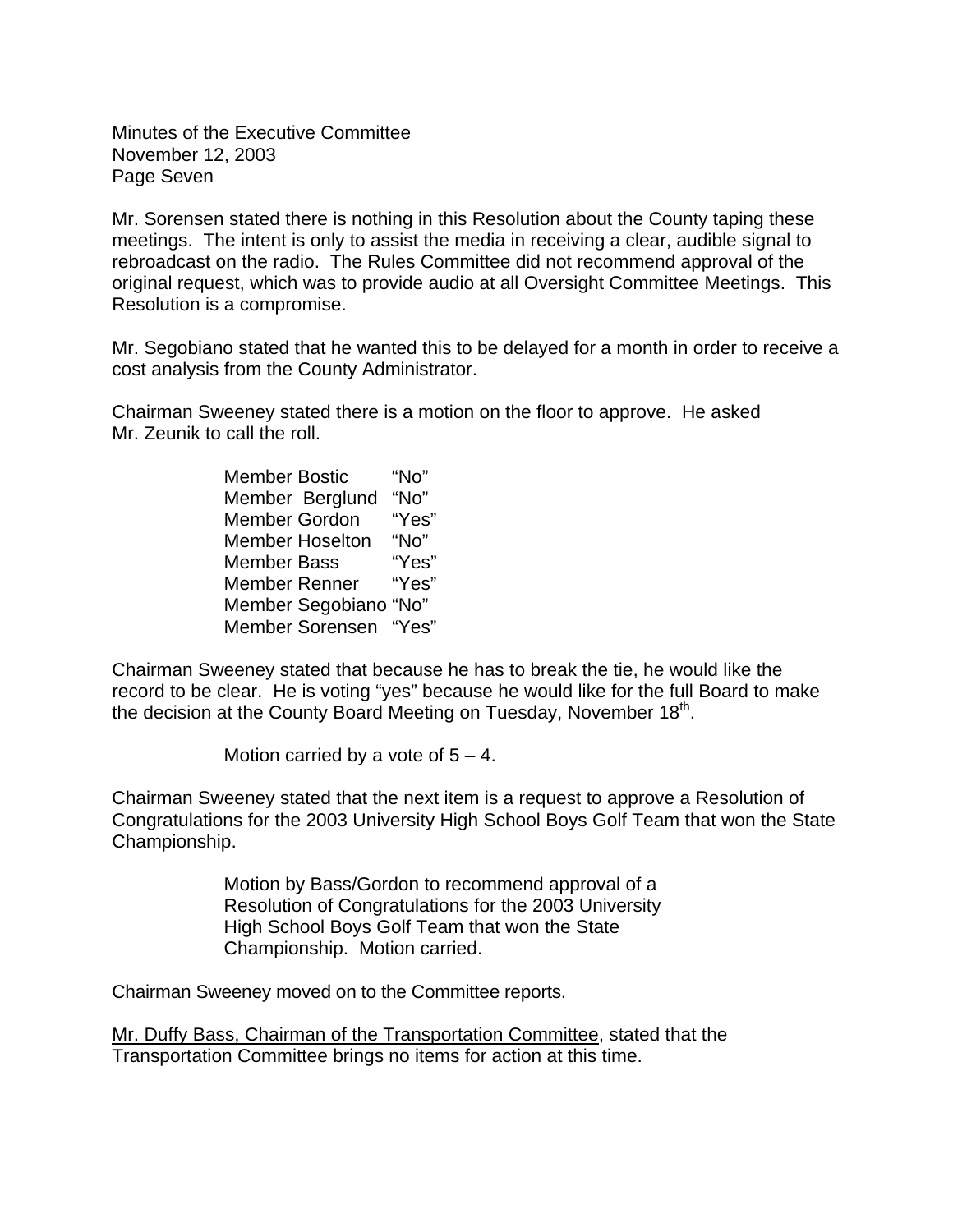Minutes of the Executive Committee November 12, 2003 Page Seven

Mr. Sorensen stated there is nothing in this Resolution about the County taping these meetings. The intent is only to assist the media in receiving a clear, audible signal to rebroadcast on the radio. The Rules Committee did not recommend approval of the original request, which was to provide audio at all Oversight Committee Meetings. This Resolution is a compromise.

Mr. Segobiano stated that he wanted this to be delayed for a month in order to receive a cost analysis from the County Administrator.

Chairman Sweeney stated there is a motion on the floor to approve. He asked Mr. Zeunik to call the roll.

| <b>Member Bostic</b>   | "No"  |
|------------------------|-------|
| Member Berglund        | "No"  |
| <b>Member Gordon</b>   | "Yes" |
| <b>Member Hoselton</b> | "No"  |
| Member Bass            | "Yes" |
| <b>Member Renner</b>   | "Yes" |
| Member Segobiano "No"  |       |
| Member Sorensen "Yes"  |       |

Chairman Sweeney stated that because he has to break the tie, he would like the record to be clear. He is voting "yes" because he would like for the full Board to make the decision at the County Board Meeting on Tuesday, November  $18<sup>th</sup>$ .

Motion carried by a vote of  $5 - 4$ .

Chairman Sweeney stated that the next item is a request to approve a Resolution of Congratulations for the 2003 University High School Boys Golf Team that won the State Championship.

> Motion by Bass/Gordon to recommend approval of a Resolution of Congratulations for the 2003 University High School Boys Golf Team that won the State Championship. Motion carried.

Chairman Sweeney moved on to the Committee reports.

Mr. Duffy Bass, Chairman of the Transportation Committee, stated that the Transportation Committee brings no items for action at this time.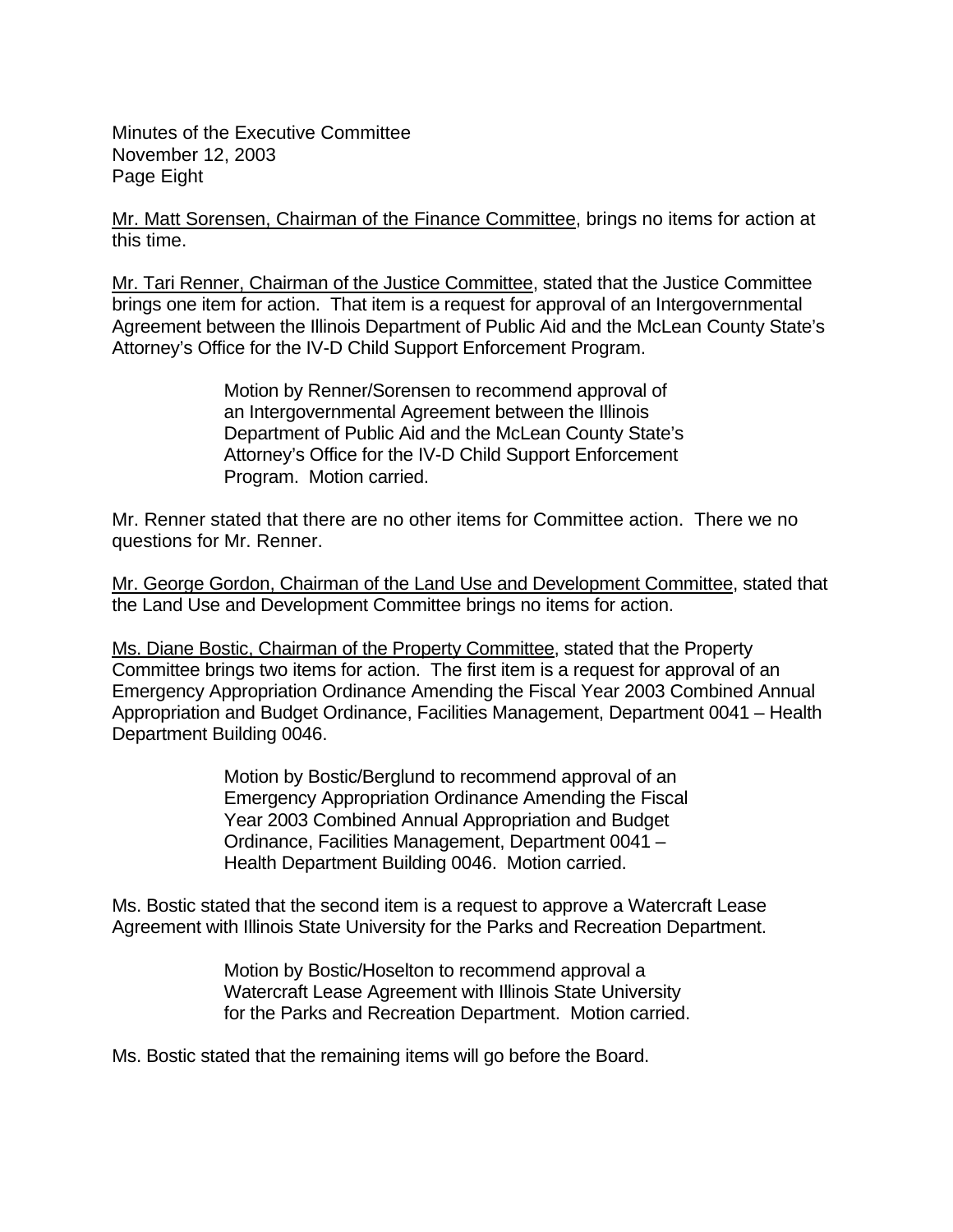Minutes of the Executive Committee November 12, 2003 Page Eight

Mr. Matt Sorensen, Chairman of the Finance Committee, brings no items for action at this time.

Mr. Tari Renner, Chairman of the Justice Committee, stated that the Justice Committee brings one item for action. That item is a request for approval of an Intergovernmental Agreement between the Illinois Department of Public Aid and the McLean County State's Attorney's Office for the IV-D Child Support Enforcement Program.

> Motion by Renner/Sorensen to recommend approval of an Intergovernmental Agreement between the Illinois Department of Public Aid and the McLean County State's Attorney's Office for the IV-D Child Support Enforcement Program. Motion carried.

Mr. Renner stated that there are no other items for Committee action. There we no questions for Mr. Renner.

Mr. George Gordon, Chairman of the Land Use and Development Committee, stated that the Land Use and Development Committee brings no items for action.

Ms. Diane Bostic, Chairman of the Property Committee, stated that the Property Committee brings two items for action. The first item is a request for approval of an Emergency Appropriation Ordinance Amending the Fiscal Year 2003 Combined Annual Appropriation and Budget Ordinance, Facilities Management, Department 0041 – Health Department Building 0046.

> Motion by Bostic/Berglund to recommend approval of an Emergency Appropriation Ordinance Amending the Fiscal Year 2003 Combined Annual Appropriation and Budget Ordinance, Facilities Management, Department 0041 – Health Department Building 0046. Motion carried.

Ms. Bostic stated that the second item is a request to approve a Watercraft Lease Agreement with Illinois State University for the Parks and Recreation Department.

> Motion by Bostic/Hoselton to recommend approval a Watercraft Lease Agreement with Illinois State University for the Parks and Recreation Department. Motion carried.

Ms. Bostic stated that the remaining items will go before the Board.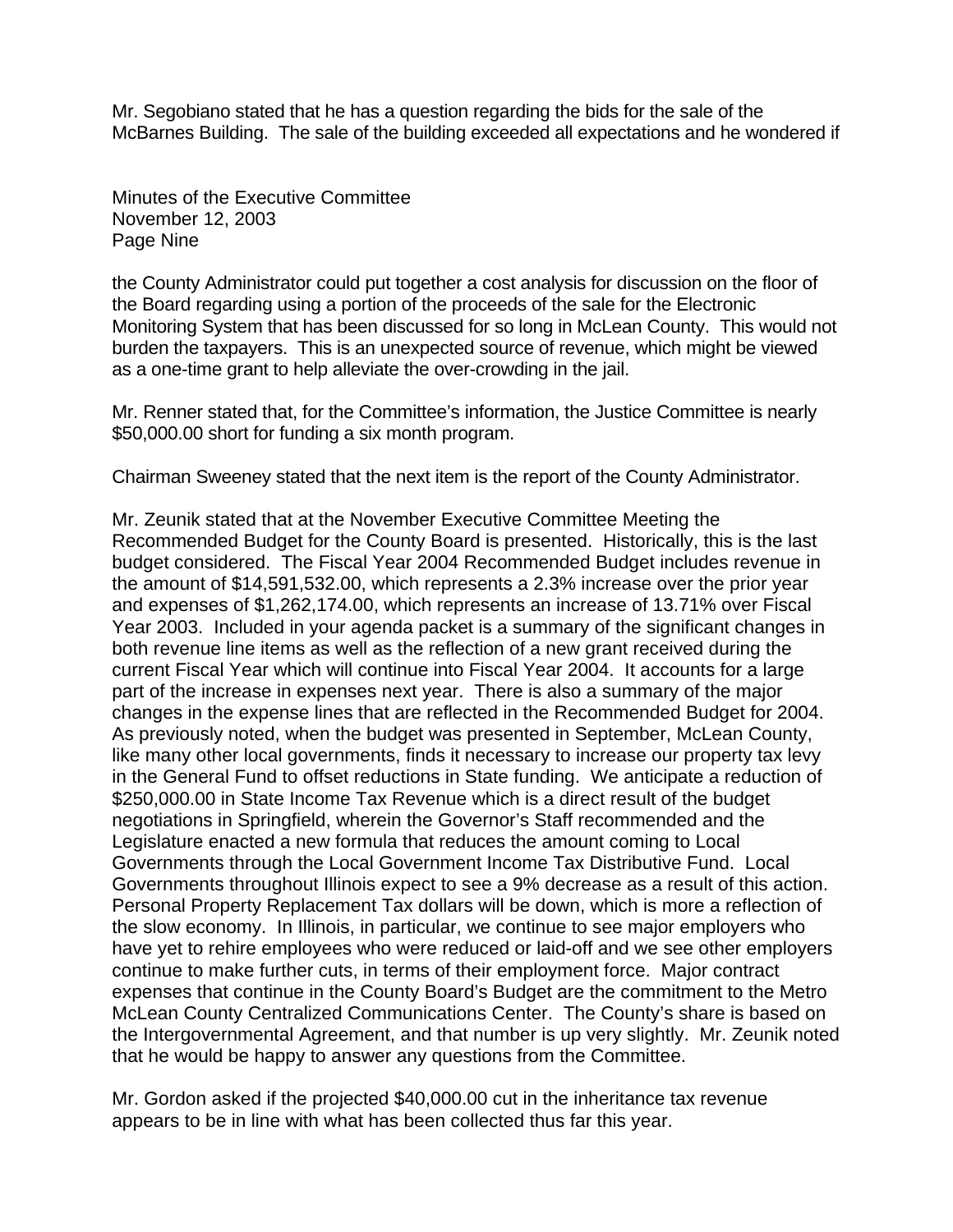Mr. Segobiano stated that he has a question regarding the bids for the sale of the McBarnes Building. The sale of the building exceeded all expectations and he wondered if

Minutes of the Executive Committee November 12, 2003 Page Nine

the County Administrator could put together a cost analysis for discussion on the floor of the Board regarding using a portion of the proceeds of the sale for the Electronic Monitoring System that has been discussed for so long in McLean County. This would not burden the taxpayers. This is an unexpected source of revenue, which might be viewed as a one-time grant to help alleviate the over-crowding in the jail.

Mr. Renner stated that, for the Committee's information, the Justice Committee is nearly \$50,000.00 short for funding a six month program.

Chairman Sweeney stated that the next item is the report of the County Administrator.

Mr. Zeunik stated that at the November Executive Committee Meeting the Recommended Budget for the County Board is presented. Historically, this is the last budget considered. The Fiscal Year 2004 Recommended Budget includes revenue in the amount of \$14,591,532.00, which represents a 2.3% increase over the prior year and expenses of \$1,262,174.00, which represents an increase of 13.71% over Fiscal Year 2003. Included in your agenda packet is a summary of the significant changes in both revenue line items as well as the reflection of a new grant received during the current Fiscal Year which will continue into Fiscal Year 2004. It accounts for a large part of the increase in expenses next year. There is also a summary of the major changes in the expense lines that are reflected in the Recommended Budget for 2004. As previously noted, when the budget was presented in September, McLean County, like many other local governments, finds it necessary to increase our property tax levy in the General Fund to offset reductions in State funding. We anticipate a reduction of \$250,000.00 in State Income Tax Revenue which is a direct result of the budget negotiations in Springfield, wherein the Governor's Staff recommended and the Legislature enacted a new formula that reduces the amount coming to Local Governments through the Local Government Income Tax Distributive Fund. Local Governments throughout Illinois expect to see a 9% decrease as a result of this action. Personal Property Replacement Tax dollars will be down, which is more a reflection of the slow economy. In Illinois, in particular, we continue to see major employers who have yet to rehire employees who were reduced or laid-off and we see other employers continue to make further cuts, in terms of their employment force. Major contract expenses that continue in the County Board's Budget are the commitment to the Metro McLean County Centralized Communications Center. The County's share is based on the Intergovernmental Agreement, and that number is up very slightly. Mr. Zeunik noted that he would be happy to answer any questions from the Committee.

Mr. Gordon asked if the projected \$40,000.00 cut in the inheritance tax revenue appears to be in line with what has been collected thus far this year.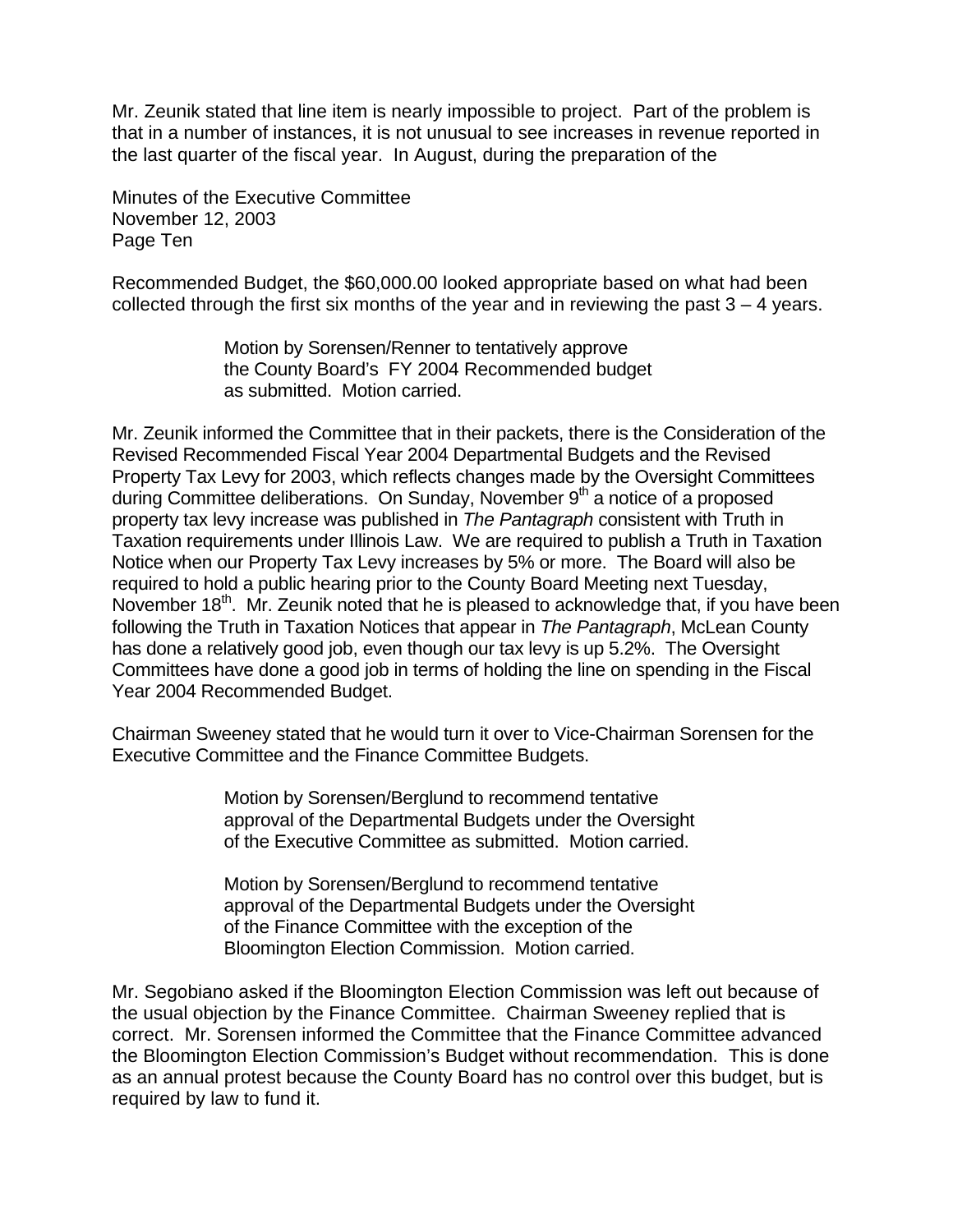Mr. Zeunik stated that line item is nearly impossible to project. Part of the problem is that in a number of instances, it is not unusual to see increases in revenue reported in the last quarter of the fiscal year. In August, during the preparation of the

Minutes of the Executive Committee November 12, 2003 Page Ten

Recommended Budget, the \$60,000.00 looked appropriate based on what had been collected through the first six months of the year and in reviewing the past  $3 - 4$  years.

> Motion by Sorensen/Renner to tentatively approve the County Board's FY 2004 Recommended budget as submitted. Motion carried.

Mr. Zeunik informed the Committee that in their packets, there is the Consideration of the Revised Recommended Fiscal Year 2004 Departmental Budgets and the Revised Property Tax Levy for 2003, which reflects changes made by the Oversight Committees during Committee deliberations. On Sunday, November  $9<sup>th</sup>$  a notice of a proposed property tax levy increase was published in *The Pantagraph* consistent with Truth in Taxation requirements under Illinois Law. We are required to publish a Truth in Taxation Notice when our Property Tax Levy increases by 5% or more. The Board will also be required to hold a public hearing prior to the County Board Meeting next Tuesday, November 18<sup>th</sup>. Mr. Zeunik noted that he is pleased to acknowledge that, if you have been following the Truth in Taxation Notices that appear in *The Pantagraph*, McLean County has done a relatively good job, even though our tax levy is up 5.2%. The Oversight Committees have done a good job in terms of holding the line on spending in the Fiscal Year 2004 Recommended Budget.

Chairman Sweeney stated that he would turn it over to Vice-Chairman Sorensen for the Executive Committee and the Finance Committee Budgets.

> Motion by Sorensen/Berglund to recommend tentative approval of the Departmental Budgets under the Oversight of the Executive Committee as submitted. Motion carried.

> Motion by Sorensen/Berglund to recommend tentative approval of the Departmental Budgets under the Oversight of the Finance Committee with the exception of the Bloomington Election Commission. Motion carried.

Mr. Segobiano asked if the Bloomington Election Commission was left out because of the usual objection by the Finance Committee. Chairman Sweeney replied that is correct. Mr. Sorensen informed the Committee that the Finance Committee advanced the Bloomington Election Commission's Budget without recommendation. This is done as an annual protest because the County Board has no control over this budget, but is required by law to fund it.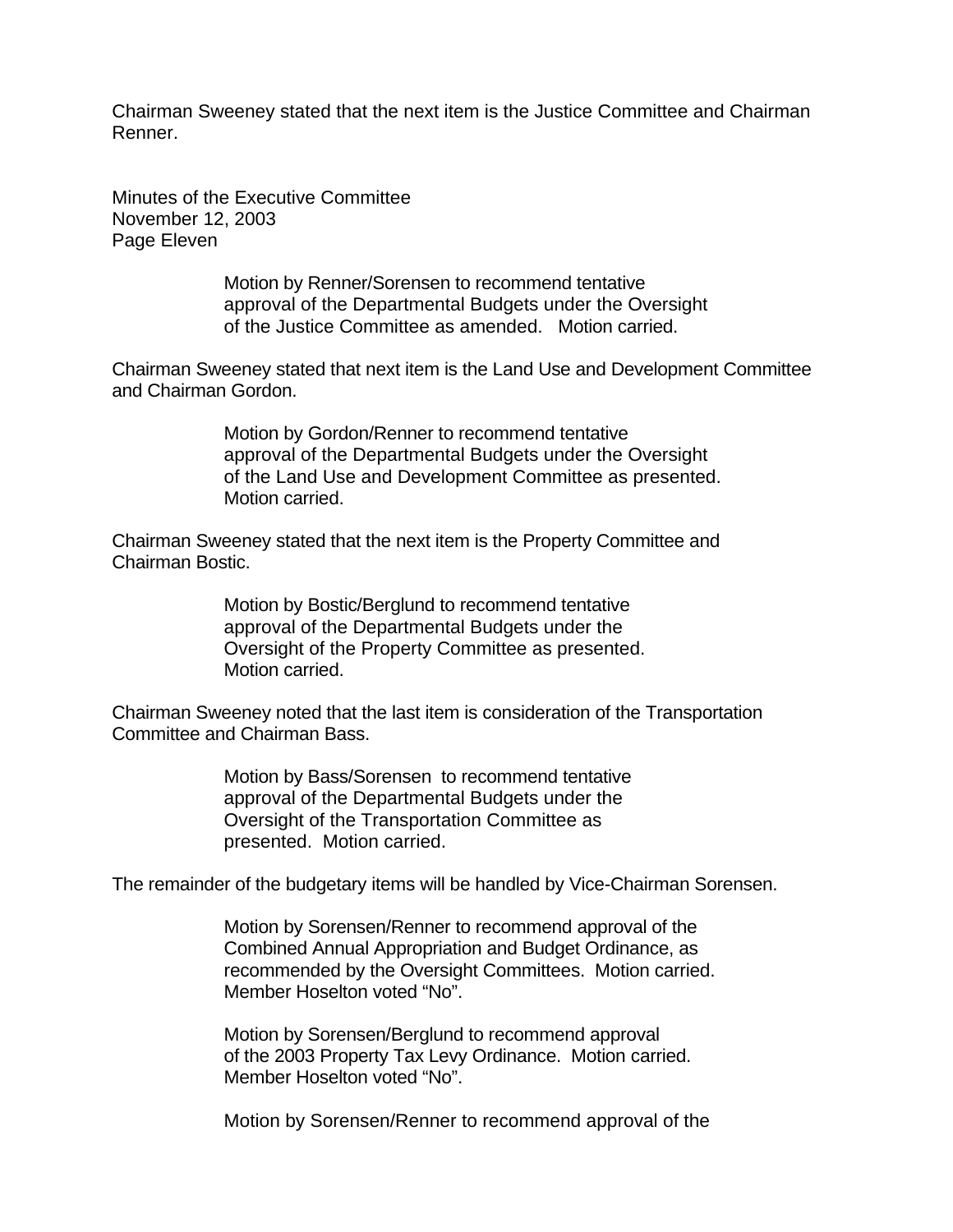Chairman Sweeney stated that the next item is the Justice Committee and Chairman Renner.

Minutes of the Executive Committee November 12, 2003 Page Eleven

> Motion by Renner/Sorensen to recommend tentative approval of the Departmental Budgets under the Oversight of the Justice Committee as amended. Motion carried.

Chairman Sweeney stated that next item is the Land Use and Development Committee and Chairman Gordon.

> Motion by Gordon/Renner to recommend tentative approval of the Departmental Budgets under the Oversight of the Land Use and Development Committee as presented. Motion carried.

Chairman Sweeney stated that the next item is the Property Committee and Chairman Bostic.

> Motion by Bostic/Berglund to recommend tentative approval of the Departmental Budgets under the Oversight of the Property Committee as presented. Motion carried.

Chairman Sweeney noted that the last item is consideration of the Transportation Committee and Chairman Bass.

> Motion by Bass/Sorensen to recommend tentative approval of the Departmental Budgets under the Oversight of the Transportation Committee as presented. Motion carried.

The remainder of the budgetary items will be handled by Vice-Chairman Sorensen.

Motion by Sorensen/Renner to recommend approval of the Combined Annual Appropriation and Budget Ordinance, as recommended by the Oversight Committees. Motion carried. Member Hoselton voted "No".

Motion by Sorensen/Berglund to recommend approval of the 2003 Property Tax Levy Ordinance. Motion carried. Member Hoselton voted "No".

Motion by Sorensen/Renner to recommend approval of the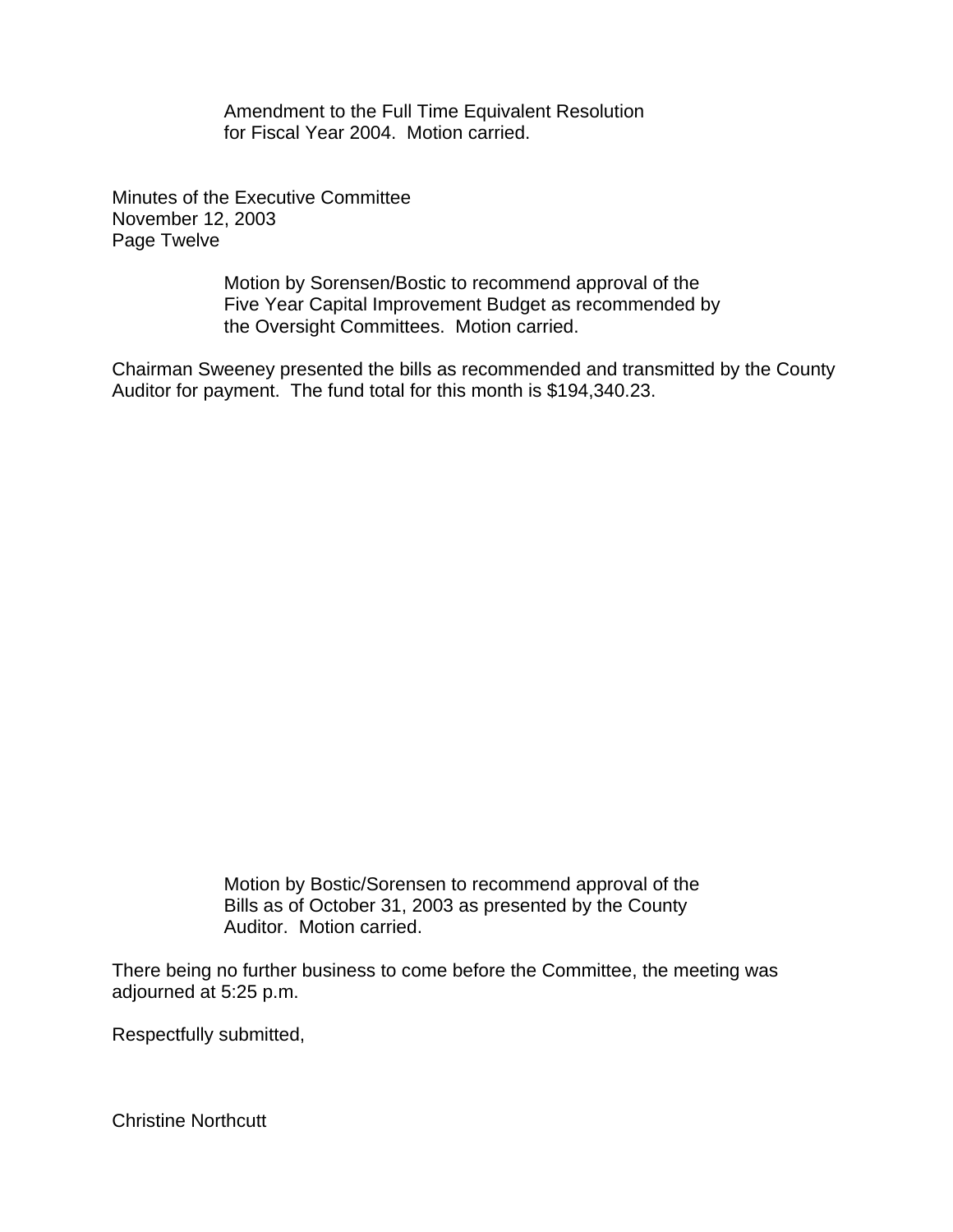Amendment to the Full Time Equivalent Resolution for Fiscal Year 2004. Motion carried.

Minutes of the Executive Committee November 12, 2003 Page Twelve

> Motion by Sorensen/Bostic to recommend approval of the Five Year Capital Improvement Budget as recommended by the Oversight Committees. Motion carried.

Chairman Sweeney presented the bills as recommended and transmitted by the County Auditor for payment. The fund total for this month is \$194,340.23.

> Motion by Bostic/Sorensen to recommend approval of the Bills as of October 31, 2003 as presented by the County Auditor. Motion carried.

There being no further business to come before the Committee, the meeting was adjourned at 5:25 p.m.

Respectfully submitted,

Christine Northcutt